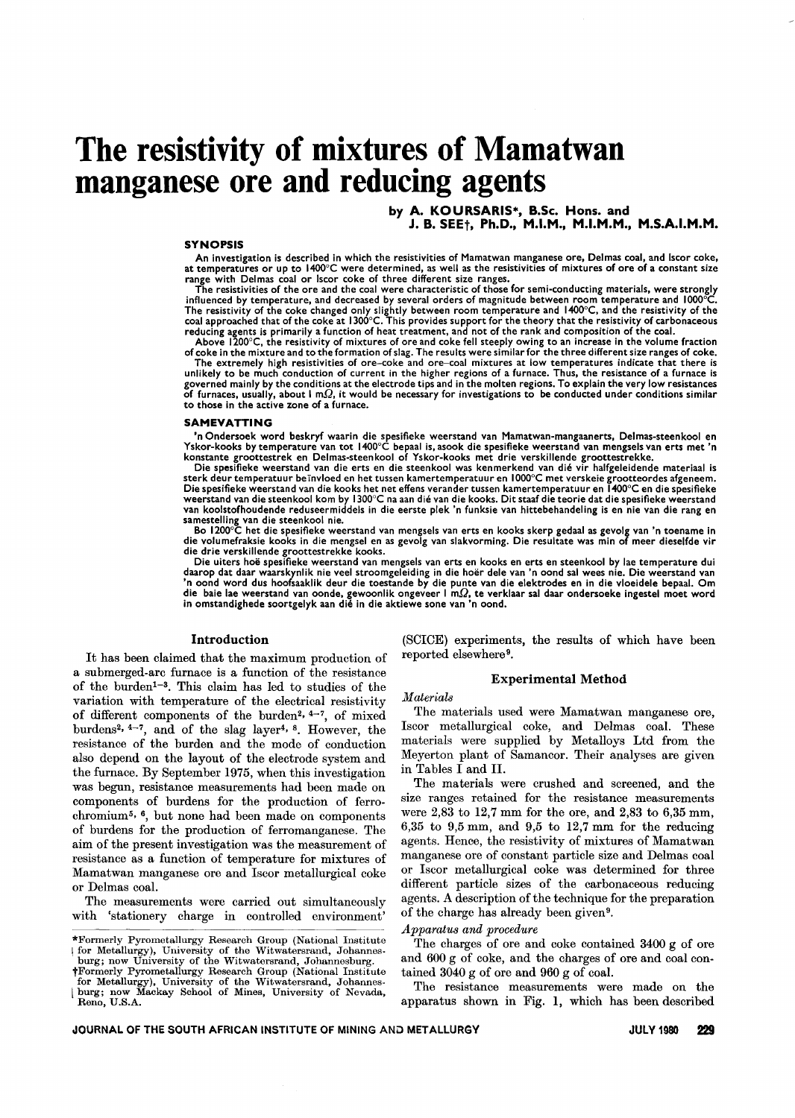# **The resistivity of mixtures of Mamatwan manganese ore and reducing agents**

by A. KOURSARIS\*, B.Sc. Hons. and

J. B. SEEt, Ph.D., M.I.M., M.I.M.M., M.S.A.I.M.M.

#### **SYNOPSIS**

An investigation is described in which the resistivities of Mamatwan manganese ore, Delmas coal, and Iscor coke, at temperatures or up to 1400°C were determined, as well as the resistivities of mixtures of ore of a constant size range with Delmas coal or Iscor coke of three different size ranges.

The resistivities of the ore and the coal were characteristic of those for semi-conducting materials, were strongly influenced by temperature, and decreased by several orders of magnitude between room temperature and 1000°C.<br>The resistivity of the coke changed only slightly between room temperature and 1400°C, and the resistivity of the reducing agents is primarily a function of heat treatment, and not of the rank and composition of the coal.

Above 1200°C, the resistivity of mixtures of ore and coke fell steeply owing to an increase in the volume fraction

of coke in the mixture and to the formation of slag. The results were similar for the three different size ranges of coke.<br>The extremely high resistivities of ore–coke and ore–coal mixtures at low temperatures indicate tha unlikely to be much conduction of current in the higher regions of a furnace. Thus, the resistance of a furnace is governed mainly by the conditions at the electrode tips and in the molten regions. To explain the very Iow resistances of furnaces, usually, about I m $\Omega$ , it would be necessary for investigations to be conducted under conditions similar to those in the active zone of a furnace.

#### SAMEVATTING

'n Ondersoek word beskryf waarin die spesifieke weerstand van Mamatwan-mangaanerts, Delmas-steenkool en Yskor-kooks by temperature van tot 1400°C bepaal is, asook die spesifieke weerstand van mengsels van erts met 'n Yskor-kooks by temperature van tot 1400°C bepaal is, asook die spesifieke weerstand van mengsels van erts met 'n<br>konstante groottestrek en Delmas-steenkool of Yskor-kooks met drie verskillende groottestrekke.

Die spesifieke weerstand van die erts en die steenkool was kenmerkend van dié vir halfgeleidende materiaal is<br>.sterk deur temperatuur beïnvloed en het tussen kamertemperatuur en 1000°C met verskeie grootteordes afgeneem<br>Di weerstand van die steenkool kom by I300°C na aan die van die kooks. Dit staaf die teorie dat die spesifieke weerstand van koolstofhoudende reduseermiddels in die eerste plek 'n funksie van hittebehandeling is en nie van die rang en samestelling van die steenkool nie.

Bo 1200°C het die spesifieke weerstand van mengsels van erts en kooks skerp gedaal as gevolg van 'n toename in die volumefraksie kooks in die mengsel en as gevolg van slakvorming. Die resultate was min of meer dieselfde vir die drie verskillende groottestrekke kooks.

Die uiters hoë spesifieke weerstand van mengsels van erts en kooks en erts en steenkool by lae temperature dui<br>daarop dat daar waarskynlik nie veel stroomgeleiding in die hoër dele van 'n oond sal wees nie. Die weerstand v in omstandighede soortgelyk aan dié in die aktiewe sone van 'n oond

## Introduction

It has been claimed that the maximum production of a submerged-arc furnace is a function of the resistance of the burden<sup>1-3</sup>. This claim has led to studies of the variation with temperature of the electrical resistivity of different components of the burden<sup>2,  $4-7$ </sup>, of mixed burdens2, 4-7, and of the slag layer4, 8. However, the resistance of the burden and the mode of conduction also depend on the layout of the electrode system and the furnace. By September 1975, when this investigation was begun, resistance measurements had been made on components of burdens for the production of ferrochromium5, 6, but none had been made on components of burdens for the production of ferromanganese. The aim of the present investigation was the measurement of resistance as a function of temperature for mixtures of Mamatwan manganese ore and Iscor metallurgical coke or Delmas coal.

The measurements were carried out simultaneously with 'stationery charge in controlled environment'

\*Formerly Pyrometallurgy Research Group (National Institute I for Metallurgy), University of the Witwatersrand, Johannesburg; now University of the Witwatersrand, Johannesburg.

† Formerly Pyrometallurgy Research Group (National Institution Metallurgy), University of the Witwatersrand, Johanne

l burg; now Mackay School of Mines, University of Nevada, Reno, U.S.A.

(SCICE) experiments, the results of which have been reported elsewhere 9.

### Experimental Method

*Materials*

The materials used were Mamatwan manganese ore, Iscor metallurgical coke, and Delmas coal. These materials were supplied by Metalloys Ltd from the Meyerton plant of Samancor. Their analyses are given in Tables I and lI.

The materials were crushed and screened, and the size ranges retained for the resistance measurements were 2,83 to 12,7 mm for the ore, and 2,83 to 6,35 mm, 6,35 to 9,5 mm, and 9,5 to 12,7 mm for the reducing agents. Hence, the resistivity of mixtures of Mamatwan manganese ore of constant particle size and Delmas coal or Iscor metallurgical coke was determined for three different particle sizes of the carbonaceous reducing agents. A description of the technique for the preparation of the charge has already been given 9.

*Apparatus and procedure*

The charges of ore and coke contained 3400 g of ore and 600 g of coke, and the charges of ore and coal contained 3040 g of ore and 960 g of coal.

The resistance measurements were made on the apparatus shown in Fig. 1, which has been described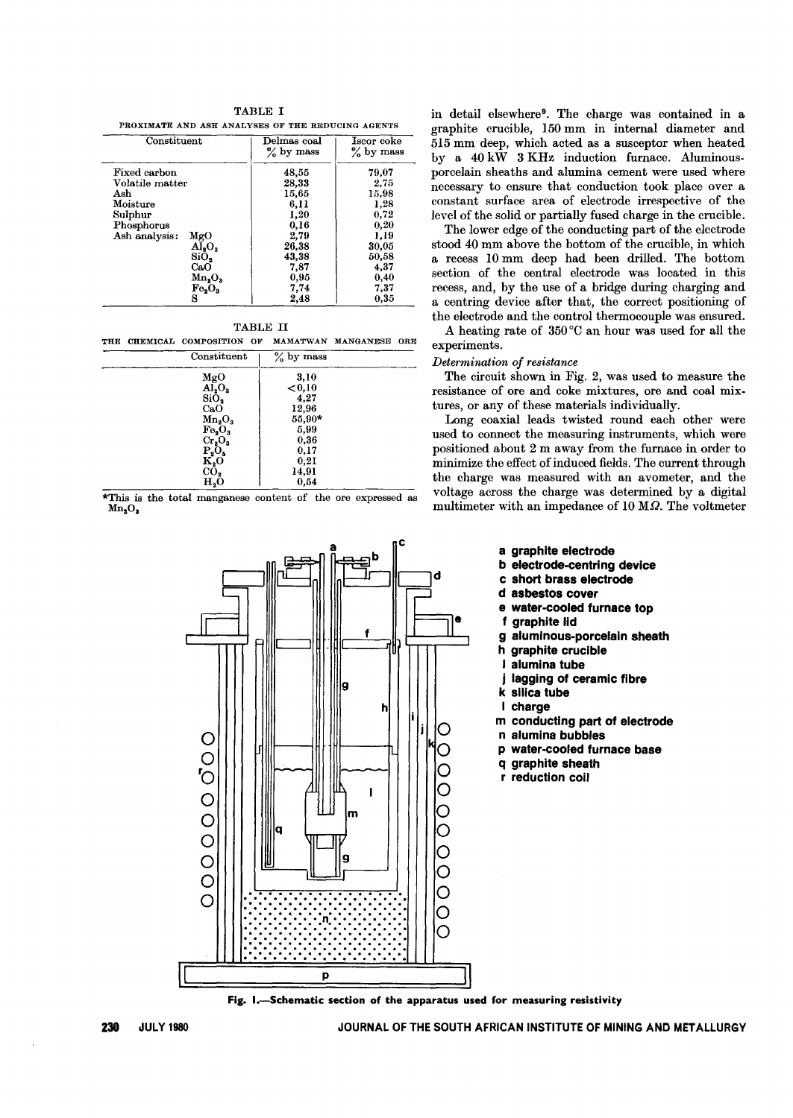| TABLE I                                           |
|---------------------------------------------------|
| PROXIMATE AND ASH ANALYSES OF THE REDUCING AGENTS |
| the The Lorentz and Lorentz Theory and Lorentz    |

| Constituent          | Delmas coal<br>$\%$ by mass | Iscor coke<br>$\%$ by mass |
|----------------------|-----------------------------|----------------------------|
| Fixed carbon         | 48,55                       | 79,07                      |
| Volatile matter      | 28,33                       | 2.75                       |
| Ash                  | 15,65                       | 15,98                      |
| Moisture             | 6.11                        | 1,28                       |
| Sulphur              | 1,20                        | 0.72                       |
| Phosphorus           | 0,16                        | $_{0,20}$                  |
| Ash analysis:<br>MgO | 2,79                        | 1,19                       |
| $\rm Al_2O_3$        | 26.38                       | 30,05                      |
| SiO <sub>2</sub>     | 43.38                       | 50,58                      |
| CaO                  | 7.87                        | 4,37                       |
| $Mn_{2}O_{3}$        | 0,95                        | 0.40                       |
| $Fe_2O_3$            | 7,74                        | 7,37                       |
| s                    | 2,48                        | 0,35                       |

|--|--|

THE CHEMICAL COMPOSITION OF MAMATWAN MANGANESE ORE

| Constituent                                               | $\frac{1}{2}$ by mass |
|-----------------------------------------------------------|-----------------------|
| $_{\text{MgO}}$                                           | 3,10                  |
| $\overline{AI_2O_3}$                                      | ${<}0,10$             |
| $Si\bar{O}_2$                                             | 4,27                  |
| CaO                                                       | 12,96                 |
| $Mn_2O_3$                                                 | 55,90*                |
|                                                           | 5,99                  |
|                                                           | 0,36                  |
|                                                           | 0,17                  |
|                                                           | 0,21                  |
| $F_{e_2}O_3$<br>$Cr_2O_3$<br>$P_2O_5$<br>$K_2O$<br>$CO_2$ | 14,91                 |
| H,O                                                       | 0,54                  |

\*This is the total manganese content of the ore expressed as  $Mn<sub>2</sub>O<sub>3</sub>$ 



in detail elsewhere9. The charge was contained in a graphite crucible, 150 mm in internal diameter and 515 mm deep, which acted as a susceptor when heated by a 40 kW 3 KHz induction furnace. Aluminousporcelain sheaths and alumina cement were used where necessary to ensure that conduction took place over a constant surface area of electrode irrespective of the level of the solid or partially fused charge in the crucible.

The lower edge of the conducting part of the electrode stood 40 mm above the bottom of the crucible, in which a recess 10 mm deep had been drilled. The bottom section of the central electrode was located in this recess, and, by the use of a bridge during charging and a centring device after that, the correct positioning of the electrode and the control thermocouple was ensured.

A heating rate of 350 °C an hour was used for all the experiments.

## *Determination of resistance*

The circuit shown in Fig. 2, was used to measure the resistance of ore and coke mixtures, ore and coal mixtures, or any of these materials individually.

Long coaxial leads twisted round each other were used to connect the measuring instruments, which were positioned about 2 m away from the furnace in order to minimize the effect of induced fields. The current through the charge was measured with an avometer, and the voltage across the charge was determined by a digital multimeter with an impedance of 10 M $\Omega$ . The voltmeter

- a graphite electrode
- b electrode-centring device
- c short brass electrode
- d asbestos cover
- e water-cooled furnace top
- f graphite lid
- g aluminous-porcelain sheath
- h graphite crucible
- alumina tube
- j lagging of ceramic fibre
- k silica tube
- I charge
- m conducting part of electrode
- n alumina bubbles
- p water-cooled furnace base
- q graphite sheath
- r reduction coil

Fig. I.-Schematic section of the apparatus used for measuring resistivity

230 JULY 1980 **JULY 1980 JOURNAL OF THE SOUTH AFRICAN INSTITUTE OF MINING AND METALLURGY**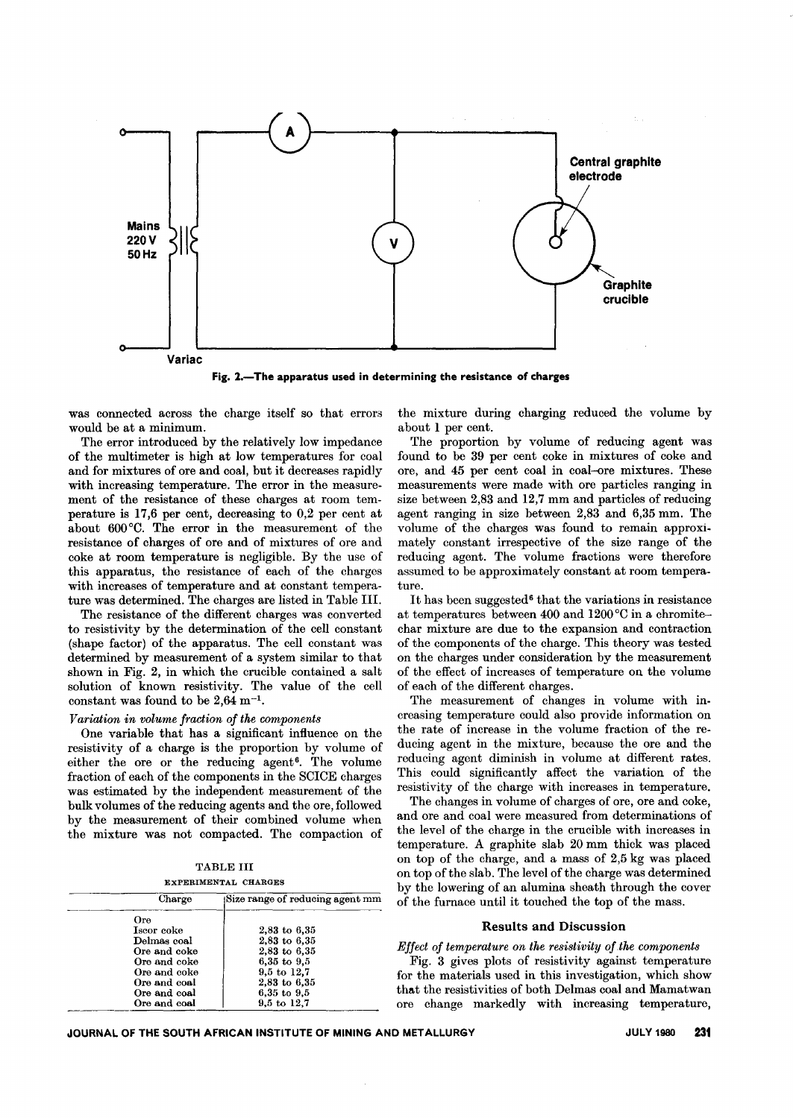

Fig. 2.-The apparatus used in determining the resistance of charges

was connected across the charge itself so that errors would be at a minimum.

The error introduced by the relatively low impedance of the multimeter is high at low temperatures for coal and for mixtures of ore and coal, but it decreases rapidly with increasing temperature. The error in the measurement of the resistance of these charges at room temperature is 17,6 per cent, decreasing to 0,2 per cent at about 600°0. The error in the measurement of the resistance of charges of ore and of mixtures of ore and coke at room temperature is negligible. By the use of this apparatus, the resistance of each of the charges with increases of temperature and at constant temperature was determined. The charges are listed in Table Ill.

The resistance of the different charges was converted to resistivity by the determination of the cell constant (shape factor) of the apparatus. The cell constant was determined by measurement of a system similar to that shown in Fig. 2, in which the crucible contained a salt solution of known resistivity. The value of the cell constant was found to be  $2.64$  m<sup>-1</sup>.

# *Variation in volume fraction of the components*

One variable that has a significant influence on the resistivity of a charge is the proportion by volume of either the ore or the reducing agent<sup>6</sup>. The volume fraction of each of the components in the SOICE charges was estimated by the independent measurement of the bulk volumes of the reducing agents and the ore, followed by the measurement of their combined volume when the mixture was not compacted. The compaction of

TABLE III EXPERIMENTAL CHARGES

|     | Charge       | Size range of reducing agent mm |
|-----|--------------|---------------------------------|
| Ore |              |                                 |
|     | Iscor coke   | $2,83$ to $6,35$                |
|     | Delmas coal  | $2,83$ to $6,35$                |
|     | Ore and coke | $2,83$ to $6,35$                |
|     | Ore and coke | $6,35$ to $9,5$                 |
|     | Ore and coke | $9,5$ to $12.7$                 |
|     | Ore and coal | $2,83$ to $6,35$                |
|     | Ore and coal | 6,35 to 9,5                     |
|     | Ore and coal | $9.5 \text{ to } 12.7$          |

the mixture during charging reduced the volume by about 1 per cent.

The proportion by volume of reducing agent was found to be 39 per cent coke in mixtures of coke and ore, and 45 per cent coal in coal-ore mixtures. These measurements were made with ore particles ranging in size between 2,83 and 12,7 mm and particles of reducing agent ranging in size between 2,83 and 6,35 mm. The volume of the charges was found to remain approxi. mately constant irrespective of the size range of the reducing agent. The volume fractions were therefore assumed to be approximately constant at room temperature.

It has been suggested<sup>6</sup> that the variations in resistance at temperatures between 400 and 1200 °C in a chromitechar mixture are due to the expansion and contraction of the components of the charge. This theory was tested on the charges under consideration by the measurement of the effect of increases of temperature on the volume of each of the different charges.

The measurement of changes in volume with increasing temperature could also provide information on the rate of increase in the volume fraction of the reducing agent in the mixture, because the ore and the reducing agent diminish in volume at different rates. This could significantly affect the variation of the resistivity of the charge with increases in temperature.

The changes in volume of charges of ore, ore and coke, and ore and coal were measured from determinations of the level of the charge in the crucible with increases in temperature. A graphite slab 20 mm thick was placed on top of the charge, and a mass of 2,5 kg was placed on top of the slab. The level of the charge was determined by the lowering of an alumina sheath through the cover of the furnace until it touched the top of the mass.

## Results and Discussion

*Effect of temperature on the resistivity of the components*

Fig. 3 gives plots of resistivity against temperature for the materials used in this investigation, which show that the resistivities of both Delmas coal and Mamatwan ore change markedly with increasing temperature,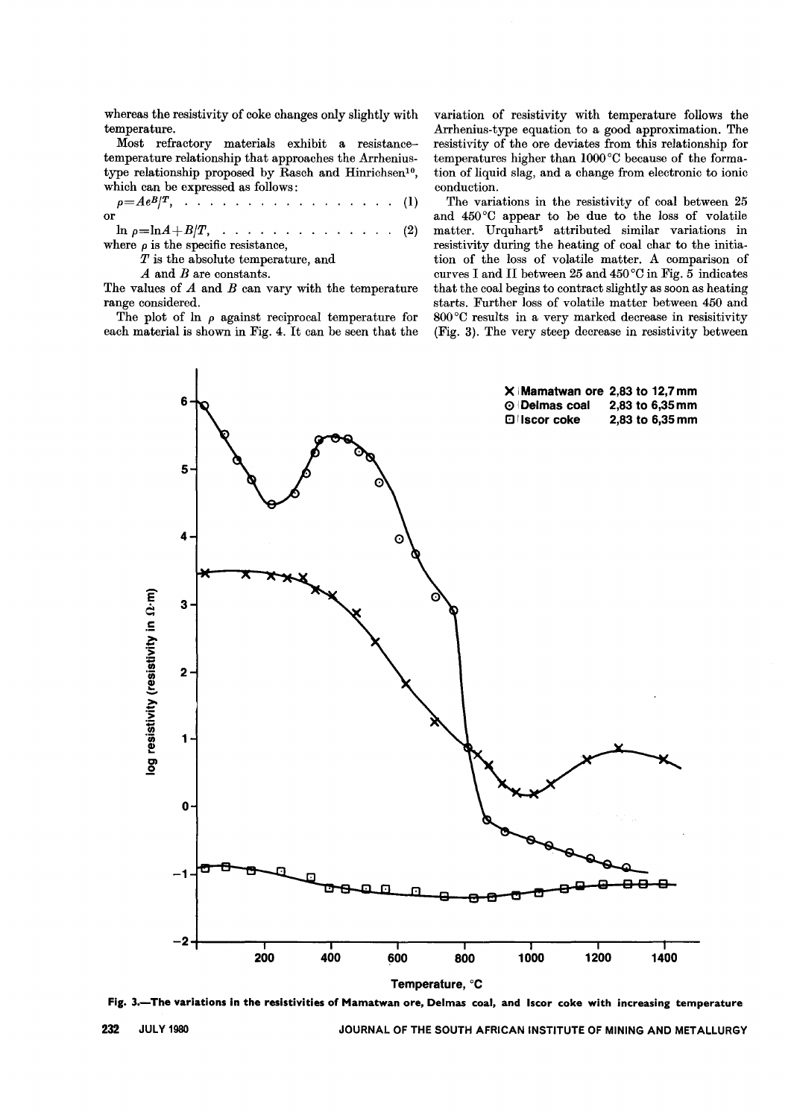whereas the resistivity of coke changes only slightly with temperature.

Most refractory materials exhibit a resistancetemperature relationship that approaches the Arrheniustype relationship proposed by Rasch and Hinrichsen<sup>10</sup>, which can be expressed as follows:

$$
\rho = Ae^{B}/T, \quad \ldots \quad \ldots \quad \ldots \quad \ldots \quad \ldots \quad (1)
$$

 $\ln \rho = \ln A + B/T$ , . . . . . . . . . . . . . . (2) where  $\rho$  is the specific resistance,

*T* is the absolute temperature, and

*A* and *B* are constants,

The values of *A* and *B* can vary with the temperature range considered.

The plot of  $\ln \rho$  against reciprocal temperature for each material is shown in Fig. 4. It can be seen that the

variation of resistivity with temperature follows the Arrhenius-type equation to a good approximation. The resistivity of the ore deviates from this relationship for temperatures higher than 1000°C because of the formation of liquid slag, and a change from electronic to ionic conduction.

The variations in the resistivity of coal between 25 and 450°0 appear to be due to the loss of volatile matter. Urquhart<sup>5</sup> attributed similar variations in resistivity during the heating of coal char to the initiation of the loss of volatile matter. A comparison of curves I and II between 25 and 450 $^{\circ}$ C in Fig. 5 indicates that the coal begins to contract slightly as soon as heating starts. Further loss of volatile matter between 450 and 800°0 results in a very marked decrease in resisitivity (Fig. 3). The very steep decrease in resistivity between



Fig. 3.- The variations in the resistivities of Mamatwan ore, Delmas coal, and Iscor coke with increasing temperature

232 JULY 1980 JOURNAL OF THE SOUTH AFRICAN INSTITUTE OF MINING AND METALLURGY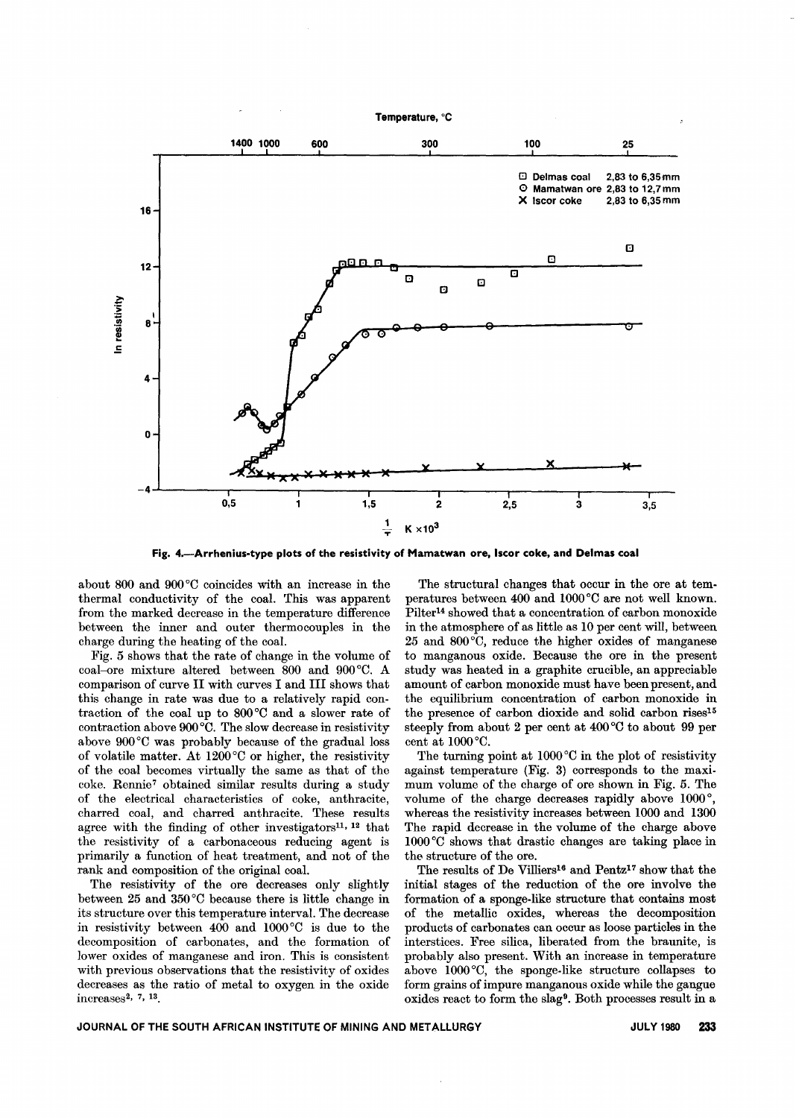

Fig. 4.-Arrhenius-type plots of the resistivity of Mamatwan ore, Iscor coke, and Delmas coal

about 800 and 900°0 coincides with an increase in the thermal conductivity of the coal. This was apparent from the marked decrease in the temperature difference between the inner and outer thermocouples in the charge during the heating of the coal.

Fig. 5 shows that the rate of change in the volume of coal-ore mixture altered between 800 and 900°0. A comparison of curve II with curves I and III shows that this change in rate was due to a relatively rapid contraction of the coal up to 800°C and a slower rate of contraction above 900°0. The slow decrease in resistivity above 900°0 was probably because of the gradual loss of volatile matter. At 1200°0 or higher, the resistivity of the coal becomes virtually the same as that of the coke. Rennie7 obtained similar results during a study of the electrical characteristics of coke, anthracite, charred coal, and charred anthracite. These results agree with the finding of other investigators<sup>11, 12</sup> that the resistivity of a carbonaceous reducing agent is primarily a function of heat treatment, and not of the rank and composition of the original coal.

The resistivity of the ore decreases only slightly between 25 and 350°C because there is little change in its structure over this temperature interval. The decrease in resistivity between 400 and 1000°0 is due to the decomposition of carbonates, and the formation of lower oxides of manganese and iron. This is consistent with previous observations that the resistivity of oxides decreases as the ratio of metal to oxygen in the oxide increases2, 7, 13.

The structural changes that occur in the ore at temperatures between 400 and 1000°0 are not well known. Pilter14 showed that a concentration of carbon monoxide in the atmosphere of as little as 10 per cent will, between 25 and 800°C, reduce the higher oxides of manganese to manganous oxide. Because the ore in the present study was heated in a graphite crucible, an appreciable amount of carbon monoxide must have been present, and the equilibrium concentration of carbon monoxide in the presence of carbon dioxide and solid carbon rises<sup>15</sup> steeply from about 2 per cent at  $400^{\circ}$ C to about 99 per cent at 1000°0.

The turning point at 1000°C in the plot of resistivity against temperature (Fig. 3) corresponds to the maximum volume of the charge of ore shown in Fig. 5. The volume of the charge decreases rapidly above 1000°, whereas the resistivity increases between 1000 and 1300 The rapid decrease in the volume of the charge above 1000 °0 shows that drastic changes are taking place in the structure of the ore.

The results of De Villiers<sup>16</sup> and Pentz<sup>17</sup> show that the initial stages of the reduction of the ore involve the formation of a sponge-like structure that contains most of the metallic oxides, whereas the decomposition products of carbonates can occur as loose particles in the interstices. Free silica, liberated from the braunite, is probably also present. With an increase in temperature above 1000°0, the sponge-like structure collapses to form grains of impure manganous oxide while the gangue oxides react to form the slag<sup>9</sup>. Both processes result in a

# JOURNAL OF THE SOUTH AFRICAN INSTITUTE OF MINING AND METALLURGY **JULY 1980** 233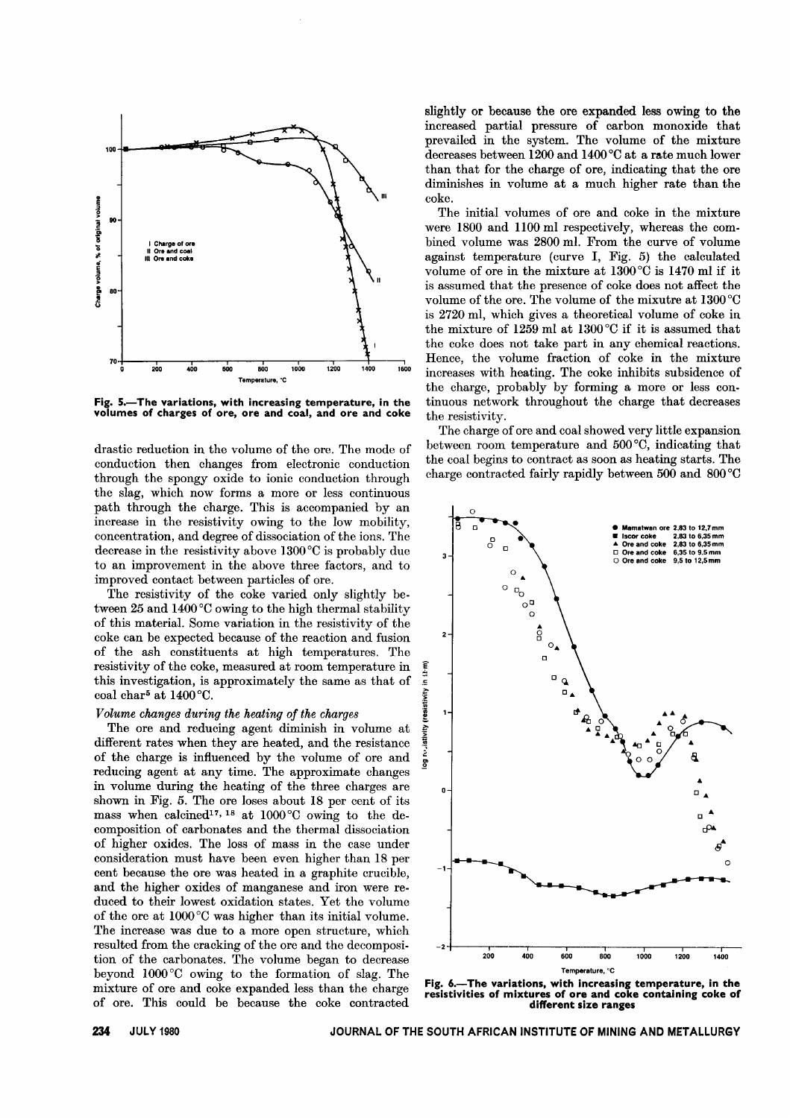

Fig. 5.- The variations, with increasing temperature, in the volumes of charges of ore, ore and coal, and ore and coke

drastic reduction in the volume of the ore. The mode of conduction then changes from electronic conduction through the spongy oxide to ionic conduction through the slag, which now forms a more or less continuous path through the charge. This is accompanied by an increase in the resistivity owing to the low mobility, concentration, and degree of dissociation of the ions. The decrease in the resistivity above 1300°C is probably due to an improvement in the above three factors, and to improved contact between particles of ore.

The resistivity of the coke varied only slightly between 25 and 1400°C owing to the high thermal stability of this material. Some variation in the resistivity of the coke can be expected because of the reaction and fusion of the ash constituents at high temperatures. The resistivity of the coke, measured at room temperature in  $\hat{\xi}$  this investigation, is approximately the same as that of  $\hat{\xi}$ this investigation, is approximately the same as that of coal char<sup>5</sup> at  $1400^{\circ}$ C.

# *Volume changes during the heating of the charges* .~

The ore and reducing agent diminish in volume at  $\frac{1}{2}$ <br>fferent rates when they are heated, and the resistance the charge is influenced by the volume of ore and  $\frac{1}{8}$ different rates when they are heated, and the resistance of the charge is influenced by the volume of ore and reducing agent at any time. The approximate changes in volume during the heating of the three charges are shown in Fig. 5. The ore loses about 18 per cent of its mass when calcined<sup>17, 18</sup> at 1000°C owing to the decomposition of carbonates and the thermal dissociation of higher oxides. The loss of mass in the case under consideration must have been even higher than 18 per cent because the ore was heated in a graphite crucible, and the higher oxides of manganese and iron were reduced to their lowest oxidation states. Yet the volume of the ore at IOOO°C was higher than its initial volume. The increase was due to a more open structure, which resulted from the cracking of the ore and the decomposition of the carbonates. The volume began to decrease beyond 1000 °C owing to the formation of slag. The mixture of ore and coke expanded less than the charge of ore. This could be because the coke contracted

slightly or because the ore expanded less owing to the increased partial pressure of carbon monoxide that prevailed in the system. The volume of the mixture decreases between 1200 and 1400°C at a rate much lower than that for the charge of ore, indicating that the ore diminishes in volume at a much higher rate than the coke.

The initial volumes of ore and coke in the mixture were 1800 and 1l00 ml respectively, whereas the combined volume was 2800 ml. From the curve of volume against temperature (curve I, Fig. 5) the calculated volume of ore in the mixture at 1300°C is 1470 ml if it is assumed that the presence of coke does not affect the volume of the ore. The volume of the mixutre at 1300 °C is 2720 ml, which gives a theoretical volume of coke in the mixture of 1259 ml at 1300 °C if it is assumed that the coke does not take part in any chemical reactions. Hence, the volume fraction of coke in the mixture increases with heating. The coke inhibits subsidence of the charge, probably by forming a more or less continuous network throughout the charge that decreases the resistivity.

The charge of ore and coal showed very little expansion between room temperature and 500°C, indicating that the coal begins to contract as soon as heating starts. The charge contracted fairly rapidly between 500 and 800 °C



Fig. 6.-The variations, with increasing temperature, in the resistivities of mixtures of ore and coke containing coke of different size ranges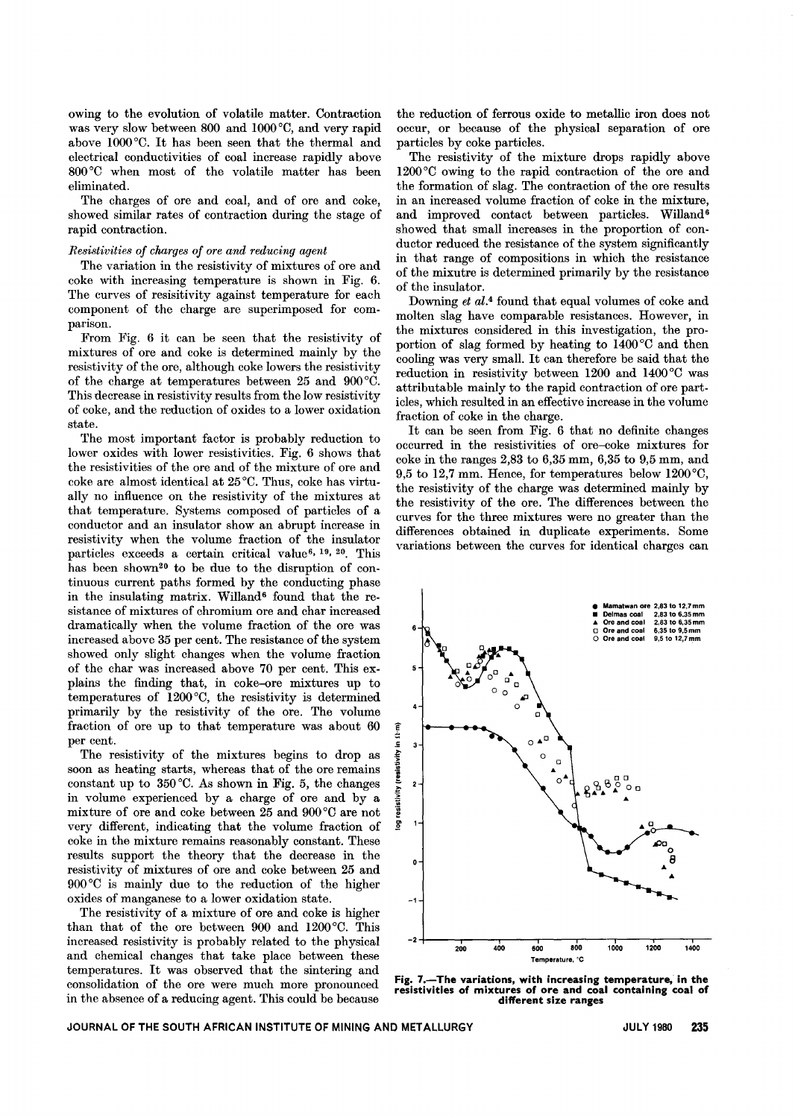owing to the evolution of volatile matter. Contraction was very slow between 800 and 1O00°C, and very rapid above 1O00°C. It has been seen that the thermal and electrical conductivities of coal increase rapidly above 800°C when most of the volatile matter has been eliminated.

The charges of ore and coal, and of ore and coke, showed similar rates of contraction during the stage of rapid contraction.

## *Resistivities of charges of ore and reducing agent*

The variation in the resistivity of mixtures of ore and coke with increasing temperature is shown in Fig. 6. The curves of resisitivity against temperature for each component of the charge are superimposed for comparison.

From Fig. 6 it can be seen that the resistivity of mixtures of ore and coke is determined mainly by the resistivity of the ore, although coke lowers the resistivity of the charge at temperatures between 25 and 900°C. This decrease in resistivity results from the low resistivity of coke, and the reduction of oxides to a lower oxidation state.

The most important factor is probably reduction to lower oxides with lower resistivities. Fig. 6 shows that the resistivities of the ore and of the mixture of ore and coke are almost identical at 25 °C. Thus, coke has virtually no influence on the resistivity of the mixtures at that temperature. Systems composed of particles of a conductor and an insulator show an abrupt increase in resistivity when the volume fraction of the insulator particles exceeds a certain critical value<sup>6, 19, 20</sup>. This has been shown<sup>20</sup> to be due to the disruption of continuous current paths formed by the conducting phase in the insulating matrix. Willand<sup>6</sup> found that the resistance of mixtures of chromium ore and char increased dramatically when the volume fraction of the ore was increased above 35 per cent. The resistance of the system showed only slight changes when the volume fraction of the char was increased above 70 per cent. This explains the finding that, in coke-ore mixtures up to temperatures of 1200°C, the resistivity is determined primarily by the resistivity of the ore. The volume fraction of ore up to that temperature was about 60 per cent.

The resistivity of the mixtures begins to drop as soon as heating starts, whereas that of the ore remains constant up to 350 °C. As shown in Fig. 5, the changes in volume experienced by a charge of ore and by a mixture of ore and coke between 25 and 900°C are not very different, indicating that the volume fraction of coke in the mixture remains reasonably constant. These results support the theory that the decrease in the resistivity of mixtures of ore and coke between 25 and 900°C is mainly due to the reduction of the higher oxides of manganese to a lower oxidation state.

The resistivity of a mixture of ore and coke is higher than that of the ore between 900 and 1200°C. This increased resistivity is probably related to the physical and chemical changes that take place between these temperatures. It was observed that the sintering and consolidation of the ore were much more pronounced in the absence of a reducing agent. This could be because

the reduction of ferrous oxide to metallic iron does not occur, or because of the physical separation of ore particles by coke particles.

The resistivity of the mixture drops rapidly above 1200°C owing to the rapid contraction of the ore and the formation of slag. The contraction of the ore results in an increased volume fraction of coke in the mixture, and improved contact between particles. Willand<sup>6</sup> showed that small increases in the proportion of conductor reduced the resistance of the system significantly in that range of compositions in which the resistance of the mixutre is determined primarily by the resistance of the insulator.

Downing *et al.4* found that equal volumes of coke and molten slag have comparable resistances. However, in the mixtures considered in this investigation, the proportion of slag formed by heating to 1400°C and then cooling was very small. It can therefore be said that the reduction in resistivity between 1200 and 1400°C was attributable mainly to the rapid contraction of ore particles, which resulted in an effective increase in the volume fraction of coke in the charge.

It can be seen from Fig. 6 that no definite changes occurred in the resistivities of ore-coke mixtures for coke in the ranges 2,83 to 6,35 mm, 6,35 to 9,5 mm, and 9,5 to 12,7 mm. Hence, for temperatures below 1200°C, the resistivity of the charge was determined mainly by the resistivity of the ore. The differences between the curves for the three mixtures were no greater than the differences obtained in duplicate experiments. Some variations between the curves for identical charges can



Fig. 7.- The variations, with increasing temperature, in the resistivities of mixtures of ore and coal containing coal of different size ranges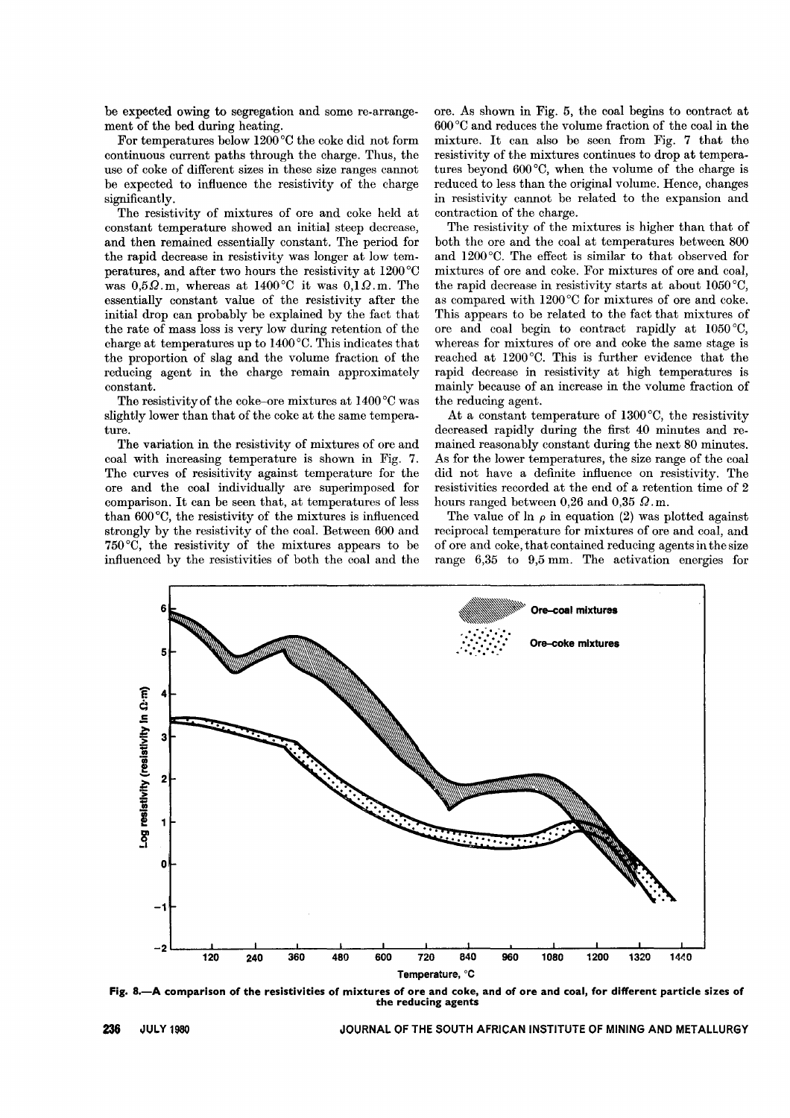be expected owing to segregation and some re-arrangement of the bed during heating.

For temperatures below  $1200^{\circ}$ C the coke did not form continuous current paths through the charge. Thus, the use of coke of different sizes in these size ranges cannot be expected to influence the resistivity of the charge significantly.

The resistivity of mixtures of ore and coke held at constant temperature showed an initial steep decrease, and then remained essentially constant. The period for the rapid decrease in resistivity was longer at low temperatures, and after two hours the resistivity at 1200°C was  $0.5\Omega$ .m, whereas at 1400°C it was  $0.1\Omega$ .m. The essentially constant value of the resistivity after the initial drop can probably be explained by the fact that the rate of mass loss is very low during retention of the charge at temperatures up to 1400°C. This indicates that the proportion of slag and the volume fraction of the reducing agent in the charge remain approximately constant.

The resistivity of the coke-ore mixtures at 1400°C was slightly lower than that of the coke at the same temperature.

The variation in the resistivity of mixtures of ore and coal with increasing temperature is shown in Fig. 7. The curves of resisitivity against temperature for the ore and the coal individually are superimposed for comparison. It can be seen that, at temperatures of less than 600 °C, the resistivity of the mixtures is influenced strongly by the resistivity of the coal. Between 600 and 750°C, the resistivity of the mixtures appears to be influenced by the resistivities of both the coal and the

ore. As shown in Fig. 5, the coal begins to contract at 600 °C and reduces the volume fraction of the coal in the mixture. It can also be seen from Fig. 7 that the resistivity of the mixtures continues to drop at temperatures beyond 600 °C, when the volume of the charge is reduced to less than the original volume. Hence, changes in resistivity cannot be related to the expansion and contraction of the charge.

The resistivity of the mixtures is higher than that of both the ore and the coal at temperatures between 800 and 1200°C. The effect is similar to that observed for mixtures of ore and coke. For mixtures of ore and coal, the rapid decrease in resistivity starts at about 1050 °C, as compared with 1200°C for mixtures of ore and coke. This appears to be related to the fact that mixtures of ore and coal begin to contract rapidly at 1050 °C, whereas for mixtures of ore and coke the same stage is reached at 1200°C. This is further evidence that the rapid decrease in resistivity at high temperatures is mainly because of an increase in the volume fraction of the reducing agent.

At a constant temperature of 1300°C, the resistivity decreased rapidly during the first 40 minutes and remained reasonably constant during the next 80 minutes. As for the lower temperatures, the size range of the coal did not have a definite influence on resistivity. The resistivities recorded at the end of a retention time of 2 hours ranged between 0,26 and 0,35  $\Omega$ .m.

The value of  $\ln \rho$  in equation (2) was plotted against reciprocal temperature for mixtures of ore and coal, and of ore and coke, that contained reducing agents in the size range 6,35 to 9,5 mm. The activation energies for



Fig. 8.-A comparison of the resistivities of mixtures of ore and coke, and of ore and coal, for different particle sizes of the reducing agents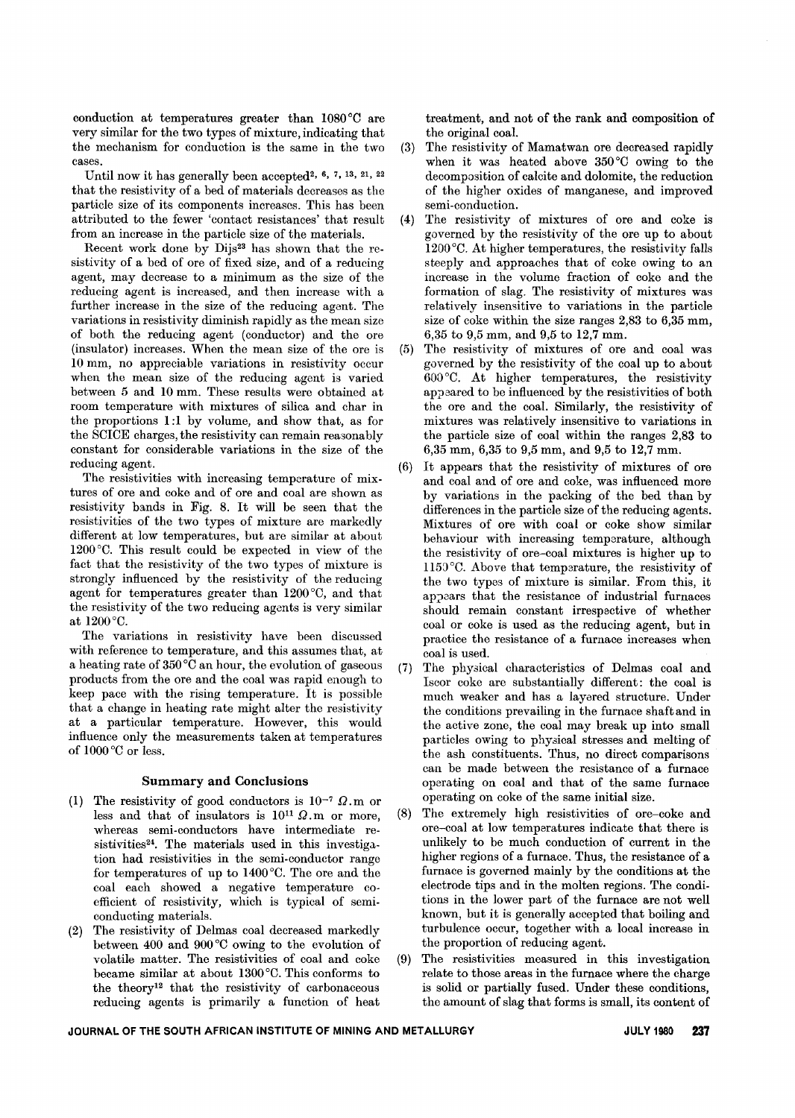conduction at temperatures greater than 1080 °C are very similar for the two types of mixture, indicating that the mechanism for conduction is the same in the two cases.

Until now it has generally been accepted<sup>2, 6, 7, 13, 21, 22</sup> that the resistivity of a bed of materials decreases as the particle size of its components increascs. This has been attributed to the fewer 'contact resistances' that result from an increase in the particle size of the materials.

Recent work done by Dijs<sup>23</sup> has shown that the resistivity of a bed of ore of fixed size, and of a reducing agent, may decrease to a minimum as the size of the reducing agent is increased, and then increase with a further increase in the size of the reducing agent. The variations in resistivity diminish rapidly as the mean size of both the reducing agent (conductor) and the ore (insulator) increases. When the mean size of the ore is 10 mm, no appreciable variations in resistivity occur when the mean size of the reducing agent is varied between 5 and 10 mm. These results were obtained at room temperature with mixtures of silica and char in the proportions 1:1 by volume, and show that, as for the SOIOE charges, the resistivity can remain reasonably constant for considerable variations in the size of the reducing agent.

The resistivities with increasing temperature of mixtures of ore and coke and of ore and coal are shown as resistivity bands in Fig. 8. It will be seen that the resistivities of the two types of mixture are markedly different at low temperatures, but are similar at about 1200 °0. This result could be expected in view of the fact that the resistivity of the two types of mixture is strongly influenced by the resistivity of the reducing agent for temperatures greater than 1200 °C, and that the resistivity of the two reducing agents is very similar at 1200°0.

The variations in resistivity have been discussed with reference to temperature, and this assumes that, at a heating rate of 350°0 an hour, the evolution of gaseous products from the ore and the coal was rapid enough to keep pace with the rising temperature. It is possible that a change in heating rate might alter the resistivity at a particular temperature. However, this would influence only the measurements taken at temperatures of 1000 °C or less.

## Summary and Conclusions

- (1) The resistivity of good conductors is  $10^{-7} \Omega$ .m or less and that of insulators is  $10^{11} \Omega$ .m or more, whereas semi-conductors have intermediate resistivities<sup>24</sup>. The materials used in this investigation had resistivities in the semi-conductor range for temperatures of up to 1400°0. The ore and the coal each showed a negative temperature coefficient of resistivity, which is typical of semiconducting materials.
- (2) The resistivity of Delmas coal decreased markedly between 400 and 900°0 owing to the evolution of volatile matter. The resistivities of coal and coke became similar at about 1300°0. This conforms to the theory12 that the resistivity of carbonaceous reducing agents is primarily a function of heat

treatment, and not of the rank and composition of the original coal.

- (3) The resistivity of Mamatwan ore decreased rapidly when it was heated above 350°C owing to the decomposition of calcite and dolomite, the reduction of the higher oxides of manganese, and improved semi-conduction.
- (4) The resistivity of mixtures of ore and coke is governed by the resistivity of the ore up to about 1200°0. At higher temperatures, the resistivity falls steeply and approaches that of coke owing to an increase in the volume fraction of coke and the formation of slag. The resistivity of mixtures was relatively insensitive to variations in the particle size of coke within the size ranges 2,83 to 6,35 mm, 6,35 to 9,5 mm, and 9,5 to 12,7 mm.
- (5) The resistivity of mixtures of ore and coal was governed by the resistivity of the coal up to about 600°0. At higher temperatures, the resistivity appeared to be influenced by the resistivities of both the ore and the coal. Similarly, the resistivity of mixtures was relatively insensitive to variations in the particle size of coal within the ranges 2,83 to 6,35 mm, 6,35 to 9,5 mm, and 9,5 to 12,7 mm.
- (6) It appears that the resistivity of mixtures of ore and coal and of ore and coke, was influenced more by variations in the packing of the bed than by differences in the particle size of the reducing agents. Mixtures of ore with coal or coke show similar behaviour with increasing temperature, although the resistivity of ore-coal mixtures is higher up to 1150 °0. Above that temperature, the resistivity of the two types of mixture is similar. From this, it appears that the resistance of industrial furnaces should remain constant irrespective of whether coal or coke is used as the reducing agent, but in practice the resistance of a furnace increases when coal is used.
- (7) The physical characteristics of Delmas coal and Iscor coke are substantially different: the coal is much weaker and has a layered structure. Under the conditions prevailing in the furnace shaft and in the active zone, the coal may break up into small particles owing to physical stresses and melting of the ash constituents. Thus, no direct comparisons can be made between the resistance of a furnace operating on coal and that of the same furnace operating on coke of the same initial size.
- (8) The extremely high resistivities of ore-coke and ore-coal at low temperatures indicate that there is unlikely to be much conduction of current in the higher regions of a furnace. Thus, the resistance of a furnace is governed mainly by the conditions at the electrode tips and in the molten regions. The conditions in the lower part of the furnace are not well known, but it is generally accepted that boiling and turbulence occur, together with a local increase in the proportion of reducing agent.
- (9) The resistivities measured in this investigation relate to those areas in the furnace where the charge is solid or partially fused. Under these conditions, the amount of slag that forms is small, its content of

# JOURNAL OF THE SOUTH AFRICAN INSTITUTE OF MINING AND METALLURGY **JULY 1980 237**